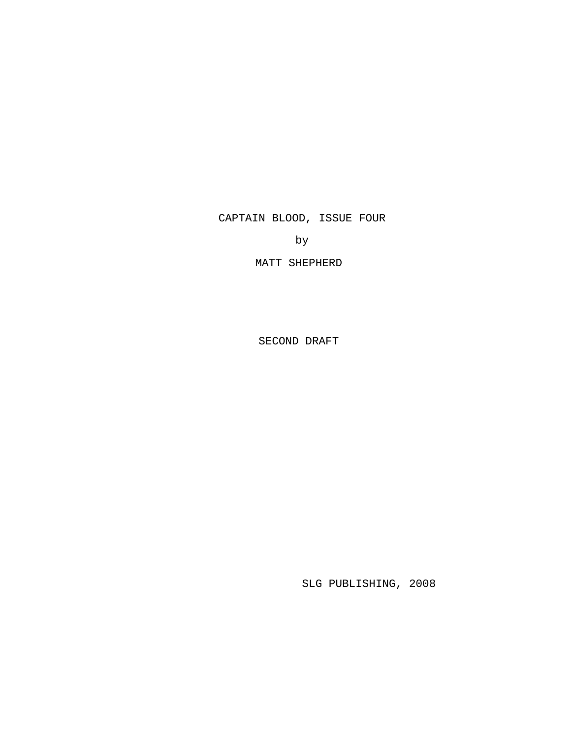CAPTAIN BLOOD, ISSUE FOUR

by

MATT SHEPHERD

SECOND DRAFT

SLG PUBLISHING, 2008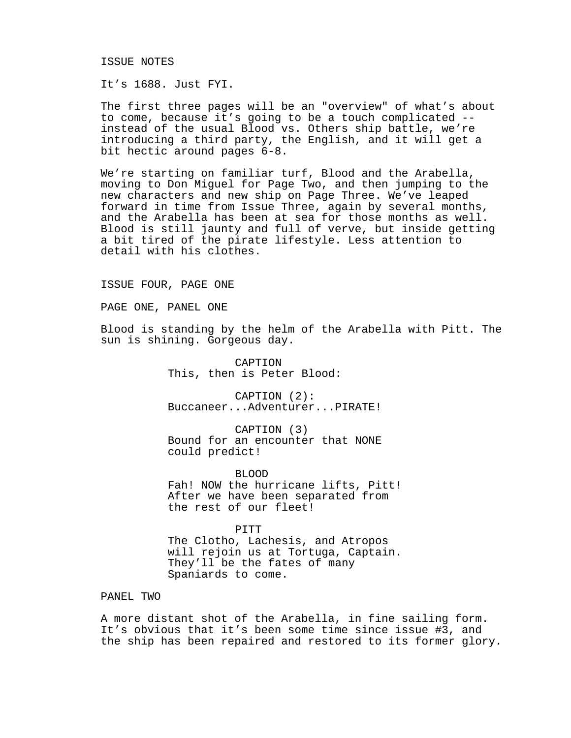## ISSUE NOTES

It's 1688. Just FYI.

The first three pages will be an "overview" of what's about to come, because it's going to be a touch complicated - instead of the usual Blood vs. Others ship battle, we're introducing a third party, the English, and it will get a bit hectic around pages 6-8.

We're starting on familiar turf, Blood and the Arabella, moving to Don Miguel for Page Two, and then jumping to the new characters and new ship on Page Three. We've leaped forward in time from Issue Three, again by several months, and the Arabella has been at sea for those months as well. Blood is still jaunty and full of verve, but inside getting a bit tired of the pirate lifestyle. Less attention to detail with his clothes.

### ISSUE FOUR, PAGE ONE

PAGE ONE, PANEL ONE

Blood is standing by the helm of the Arabella with Pitt. The sun is shining. Gorgeous day.

> CAPTION This, then is Peter Blood:

CAPTION (2): Buccaneer...Adventurer...PIRATE!

CAPTION (3) Bound for an encounter that NONE could predict!

BLOOD

Fah! NOW the hurricane lifts, Pitt! After we have been separated from the rest of our fleet!

PITT

The Clotho, Lachesis, and Atropos will rejoin us at Tortuga, Captain. They'll be the fates of many Spaniards to come.

### PANEL TWO

A more distant shot of the Arabella, in fine sailing form. It's obvious that it's been some time since issue #3, and the ship has been repaired and restored to its former glory.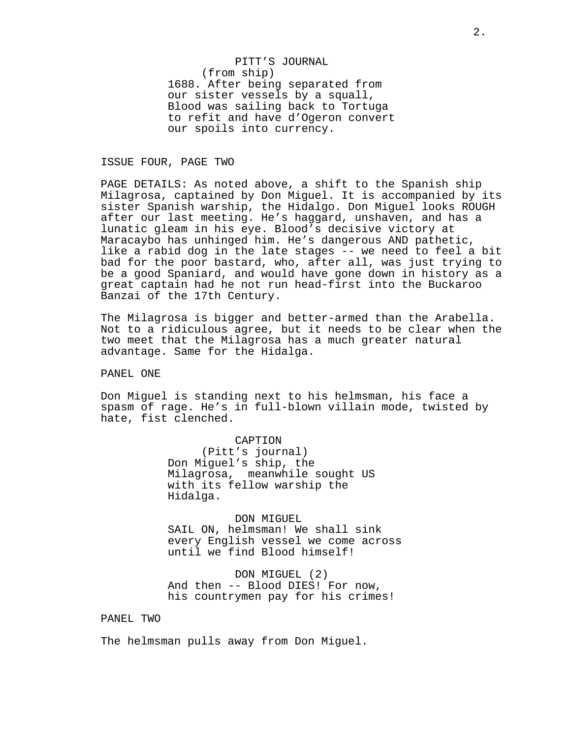PITT'S JOURNAL (from ship) 1688. After being separated from our sister vessels by a squall, Blood was sailing back to Tortuga to refit and have d'Ogeron convert our spoils into currency.

ISSUE FOUR, PAGE TWO

PAGE DETAILS: As noted above, a shift to the Spanish ship Milagrosa, captained by Don Miguel. It is accompanied by its sister Spanish warship, the Hidalgo. Don Miguel looks ROUGH after our last meeting. He's haggard, unshaven, and has a lunatic gleam in his eye. Blood's decisive victory at Maracaybo has unhinged him. He's dangerous AND pathetic, like a rabid dog in the late stages -- we need to feel a bit bad for the poor bastard, who, after all, was just trying to be a good Spaniard, and would have gone down in history as a great captain had he not run head-first into the Buckaroo Banzai of the 17th Century.

The Milagrosa is bigger and better-armed than the Arabella. Not to a ridiculous agree, but it needs to be clear when the two meet that the Milagrosa has a much greater natural advantage. Same for the Hidalga.

PANEL ONE

Don Miguel is standing next to his helmsman, his face a spasm of rage. He's in full-blown villain mode, twisted by hate, fist clenched.

> CAPTION (Pitt's journal) Don Miguel's ship, the Milagrosa, meanwhile sought US with its fellow warship the Hidalga.

DON MIGUEL SAIL ON, helmsman! We shall sink every English vessel we come across until we find Blood himself!

DON MIGUEL (2) And then -- Blood DIES! For now, his countrymen pay for his crimes!

## PANEL TWO

The helmsman pulls away from Don Miguel.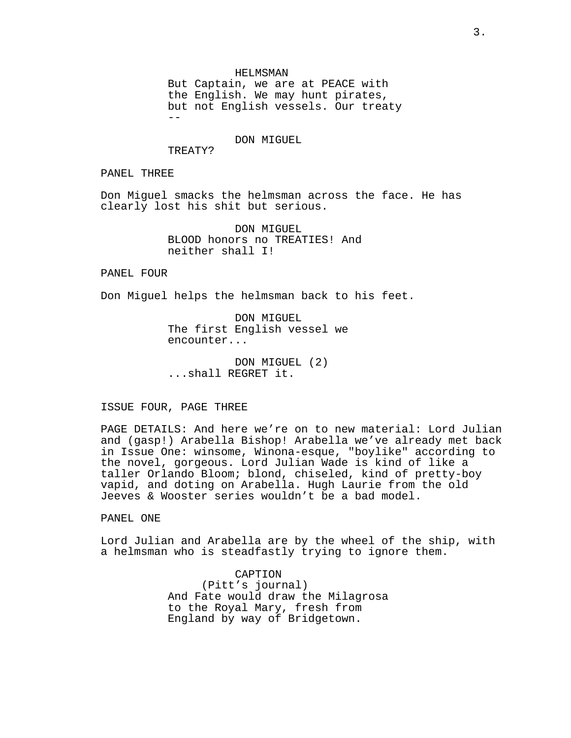HELMSMAN

But Captain, we are at PEACE with the English. We may hunt pirates, but not English vessels. Our treaty  $- -$ 

DON MIGUEL

TREATY?

PANEL THREE

Don Miguel smacks the helmsman across the face. He has clearly lost his shit but serious.

> DON MIGUEL BLOOD honors no TREATIES! And neither shall I!

PANEL FOUR

Don Miguel helps the helmsman back to his feet.

DON MIGUEL The first English vessel we encounter...

DON MIGUEL (2) ...shall REGRET it.

ISSUE FOUR, PAGE THREE

PAGE DETAILS: And here we're on to new material: Lord Julian and (gasp!) Arabella Bishop! Arabella we've already met back in Issue One: winsome, Winona-esque, "boylike" according to the novel, gorgeous. Lord Julian Wade is kind of like a taller Orlando Bloom; blond, chiseled, kind of pretty-boy vapid, and doting on Arabella. Hugh Laurie from the old Jeeves & Wooster series wouldn't be a bad model.

PANEL ONE

Lord Julian and Arabella are by the wheel of the ship, with a helmsman who is steadfastly trying to ignore them.

> CAPTION (Pitt's journal) And Fate would draw the Milagrosa to the Royal Mary, fresh from England by way of Bridgetown.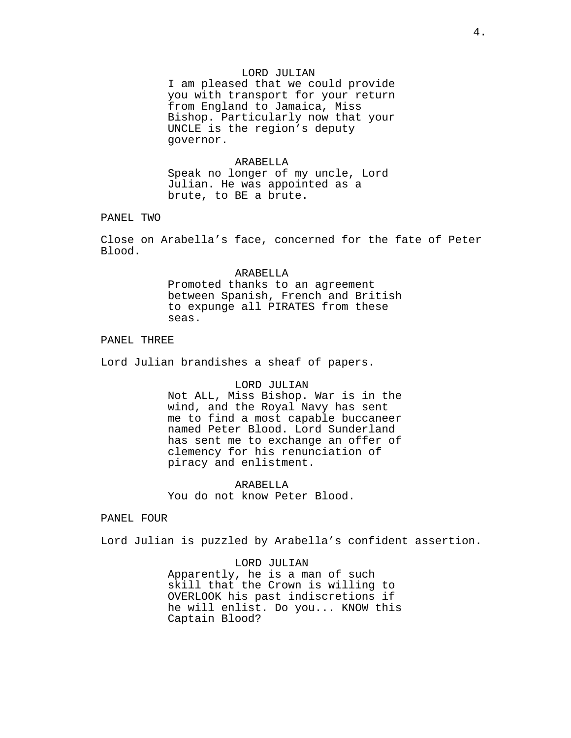# LORD JULIAN

I am pleased that we could provide you with transport for your return from England to Jamaica, Miss Bishop. Particularly now that your UNCLE is the region's deputy governor.

### ARABELLA

Speak no longer of my uncle, Lord Julian. He was appointed as a brute, to BE a brute.

PANEL TWO

Close on Arabella's face, concerned for the fate of Peter Blood.

#### ARABELLA

Promoted thanks to an agreement between Spanish, French and British to expunge all PIRATES from these seas.

## PANEL THREE

Lord Julian brandishes a sheaf of papers.

### LORD JULIAN

Not ALL, Miss Bishop. War is in the wind, and the Royal Navy has sent me to find a most capable buccaneer named Peter Blood. Lord Sunderland has sent me to exchange an offer of clemency for his renunciation of piracy and enlistment.

ARABELLA You do not know Peter Blood.

### PANEL FOUR

Lord Julian is puzzled by Arabella's confident assertion.

LORD JULIAN Apparently, he is a man of such skill that the Crown is willing to OVERLOOK his past indiscretions if he will enlist. Do you... KNOW this Captain Blood?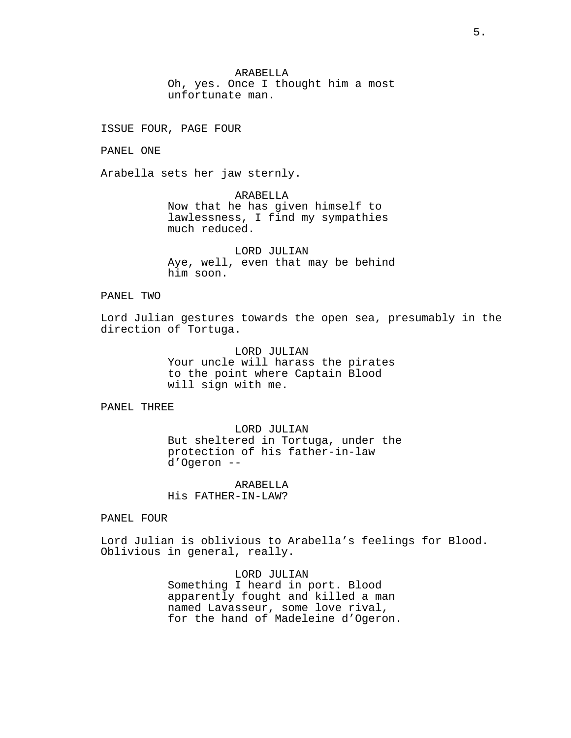ARABELLA

Oh, yes. Once I thought him a most unfortunate man.

ISSUE FOUR, PAGE FOUR

PANEL ONE

Arabella sets her jaw sternly.

ARABELLA Now that he has given himself to lawlessness, I find my sympathies much reduced.

LORD JULIAN Aye, well, even that may be behind him soon.

## PANEL TWO

Lord Julian gestures towards the open sea, presumably in the direction of Tortuga.

> LORD JULIAN Your uncle will harass the pirates to the point where Captain Blood will sign with me.

# PANEL THREE

LORD JULIAN But sheltered in Tortuga, under the protection of his father-in-law d'Ogeron --

ARABELLA His FATHER-IN-LAW?

PANEL FOUR

Lord Julian is oblivious to Arabella's feelings for Blood. Oblivious in general, really.

> LORD JULIAN Something I heard in port. Blood apparently fought and killed a man named Lavasseur, some love rival, for the hand of Madeleine d'Ogeron.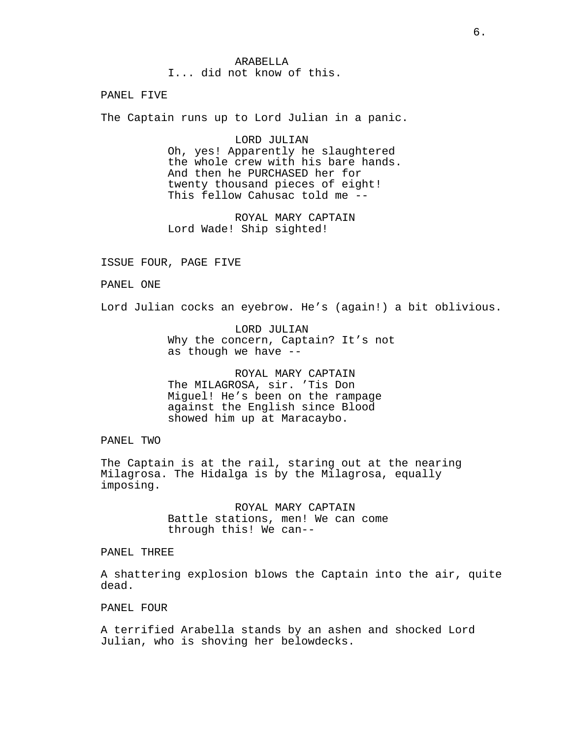ARABELLA I... did not know of this.

PANEL FIVE

The Captain runs up to Lord Julian in a panic.

LORD JULIAN Oh, yes! Apparently he slaughtered the whole crew with his bare hands. And then he PURCHASED her for twenty thousand pieces of eight! This fellow Cahusac told me --

ROYAL MARY CAPTAIN Lord Wade! Ship sighted!

ISSUE FOUR, PAGE FIVE

PANEL ONE

Lord Julian cocks an eyebrow. He's (again!) a bit oblivious.

LORD JULIAN Why the concern, Captain? It's not as though we have --

ROYAL MARY CAPTAIN The MILAGROSA, sir. 'Tis Don Miguel! He's been on the rampage against the English since Blood showed him up at Maracaybo.

PANEL TWO

The Captain is at the rail, staring out at the nearing Milagrosa. The Hidalga is by the Milagrosa, equally imposing.

> ROYAL MARY CAPTAIN Battle stations, men! We can come through this! We can--

PANEL THREE

A shattering explosion blows the Captain into the air, quite dead.

PANEL FOUR

A terrified Arabella stands by an ashen and shocked Lord Julian, who is shoving her belowdecks.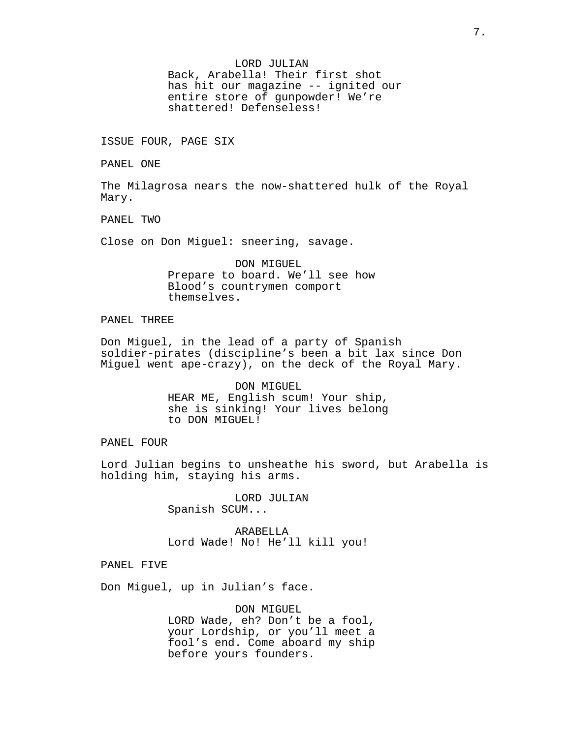# LORD JULIAN Back, Arabella! Their first shot has hit our magazine -- ignited our entire store of gunpowder! We're shattered! Defenseless!

ISSUE FOUR, PAGE SIX

PANEL ONE

The Milagrosa nears the now-shattered hulk of the Royal Mary.

PANEL TWO

Close on Don Miguel: sneering, savage.

DON MIGUEL Prepare to board. We'll see how Blood's countrymen comport themselves.

# PANEL THREE

Don Miguel, in the lead of a party of Spanish soldier-pirates (discipline's been a bit lax since Don Miguel went ape-crazy), on the deck of the Royal Mary.

> DON MIGUEL HEAR ME, English scum! Your ship, she is sinking! Your lives belong to DON MIGUEL!

PANEL FOUR

Lord Julian begins to unsheathe his sword, but Arabella is holding him, staying his arms.

> LORD JULIAN Spanish SCUM...

ARABELLA Lord Wade! No! He'll kill you!

PANEL FIVE

Don Miguel, up in Julian's face.

DON MIGUEL LORD Wade, eh? Don't be a fool, your Lordship, or you'll meet a fool's end. Come aboard my ship before yours founders.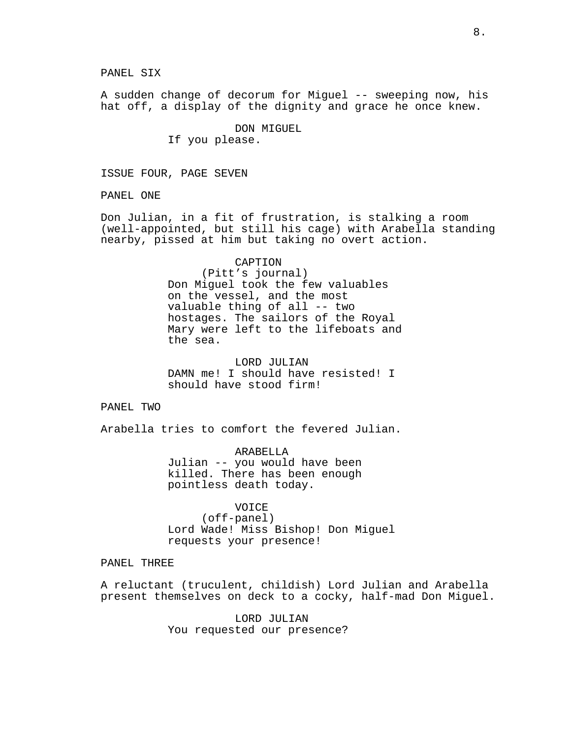PANEL SIX

A sudden change of decorum for Miguel -- sweeping now, his hat off, a display of the dignity and grace he once knew.

> DON MIGUEL If you please.

ISSUE FOUR, PAGE SEVEN

PANEL ONE

Don Julian, in a fit of frustration, is stalking a room (well-appointed, but still his cage) with Arabella standing nearby, pissed at him but taking no overt action.

> CAPTION (Pitt's journal) Don Miguel took the few valuables on the vessel, and the most valuable thing of all -- two hostages. The sailors of the Royal Mary were left to the lifeboats and the sea.

LORD JULIAN DAMN me! I should have resisted! I should have stood firm!

PANEL TWO

Arabella tries to comfort the fevered Julian.

ARABELLA Julian -- you would have been killed. There has been enough pointless death today.

VOICE (off-panel) Lord Wade! Miss Bishop! Don Miguel requests your presence!

## PANEL THREE

A reluctant (truculent, childish) Lord Julian and Arabella present themselves on deck to a cocky, half-mad Don Miguel.

> LORD JULIAN You requested our presence?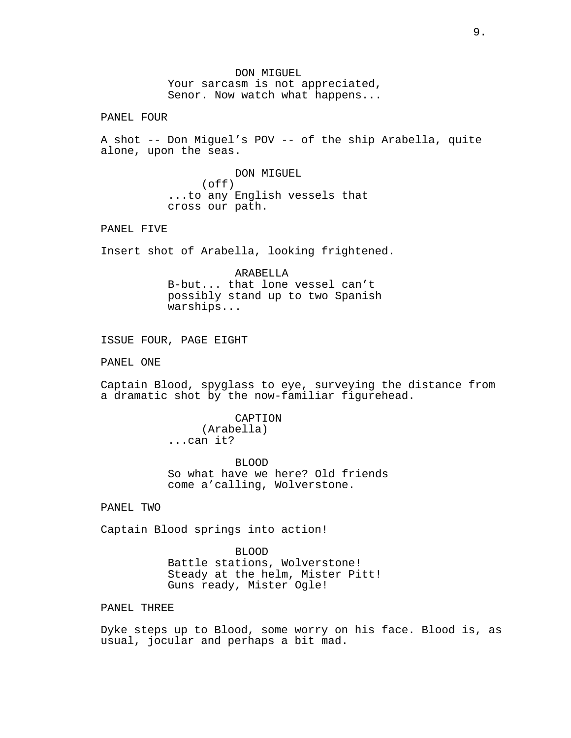DON MIGUEL Your sarcasm is not appreciated, Senor. Now watch what happens...

PANEL FOUR

A shot -- Don Miguel's POV -- of the ship Arabella, quite alone, upon the seas.

> DON MIGUEL (off) ...to any English vessels that cross our path.

PANEL FIVE

Insert shot of Arabella, looking frightened.

ARABELLA B-but... that lone vessel can't possibly stand up to two Spanish warships...

ISSUE FOUR, PAGE EIGHT

PANEL ONE

Captain Blood, spyglass to eye, surveying the distance from a dramatic shot by the now-familiar figurehead.

> CAPTION (Arabella) ...can it?

BLOOD So what have we here? Old friends come a'calling, Wolverstone.

PANEL TWO

Captain Blood springs into action!

BLOOD Battle stations, Wolverstone! Steady at the helm, Mister Pitt! Guns ready, Mister Ogle!

PANEL THREE

Dyke steps up to Blood, some worry on his face. Blood is, as usual, jocular and perhaps a bit mad.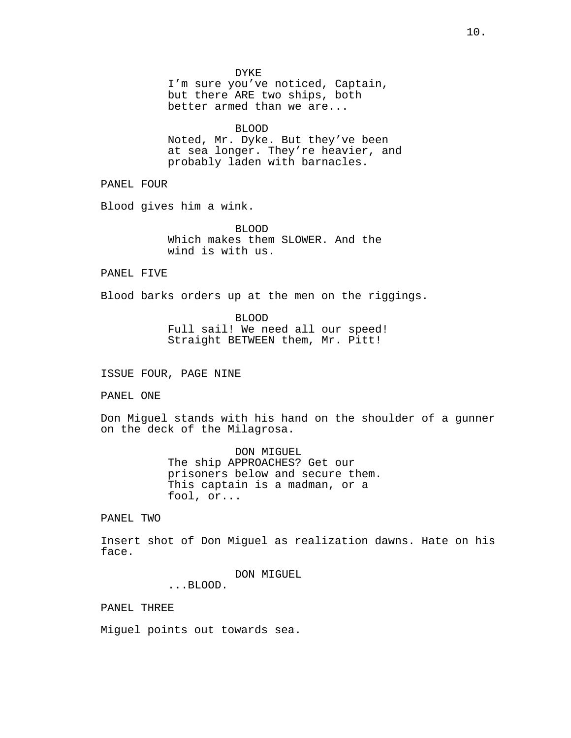DYKE

I'm sure you've noticed, Captain, but there ARE two ships, both better armed than we are...

BLOOD Noted, Mr. Dyke. But they've been at sea longer. They're heavier, and probably laden with barnacles.

PANEL FOUR

Blood gives him a wink.

BLOOD Which makes them SLOWER. And the wind is with us.

PANEL FIVE

Blood barks orders up at the men on the riggings.

BLOOD Full sail! We need all our speed! Straight BETWEEN them, Mr. Pitt!

ISSUE FOUR, PAGE NINE

PANEL ONE

Don Miguel stands with his hand on the shoulder of a gunner on the deck of the Milagrosa.

> DON MIGUEL The ship APPROACHES? Get our prisoners below and secure them. This captain is a madman, or a fool, or...

PANEL TWO

Insert shot of Don Miguel as realization dawns. Hate on his face.

DON MIGUEL

...BLOOD.

PANEL THREE

Miguel points out towards sea.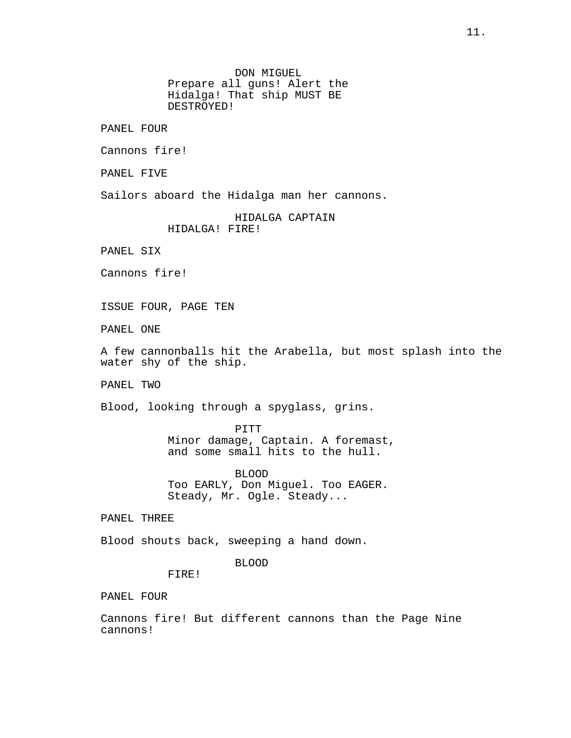DON MIGUEL Prepare all guns! Alert the Hidalga! That ship MUST BE DESTROYED!

PANEL FOUR

Cannons fire!

PANEL FIVE

Sailors aboard the Hidalga man her cannons.

HIDALGA CAPTAIN HIDALGA! FIRE!

PANEL SIX

Cannons fire!

ISSUE FOUR, PAGE TEN

PANEL ONE

A few cannonballs hit the Arabella, but most splash into the water shy of the ship.

PANEL TWO

Blood, looking through a spyglass, grins.

PITT Minor damage, Captain. A foremast, and some small hits to the hull.

BLOOD Too EARLY, Don Miguel. Too EAGER. Steady, Mr. Ogle. Steady...

PANEL THREE

Blood shouts back, sweeping a hand down.

## BLOOD

FIRE!

PANEL FOUR

Cannons fire! But different cannons than the Page Nine cannons!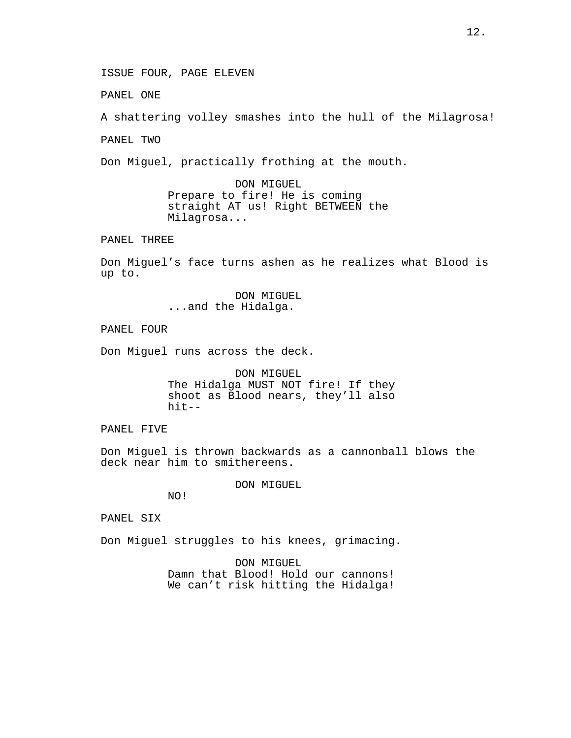ISSUE FOUR, PAGE ELEVEN

PANEL ONE

A shattering volley smashes into the hull of the Milagrosa!

PANEL TWO

Don Miguel, practically frothing at the mouth.

DON MIGUEL Prepare to fire! He is coming straight AT us! Right BETWEEN the Milagrosa...

PANEL THREE

Don Miguel's face turns ashen as he realizes what Blood is up to.

> DON MIGUEL ...and the Hidalga.

PANEL FOUR

Don Miguel runs across the deck.

DON MIGUEL The Hidalga MUST NOT fire! If they shoot as Blood nears, they'll also hit--

PANEL FIVE

Don Miguel is thrown backwards as a cannonball blows the deck near him to smithereens.

DON MIGUEL

NO!

PANEL SIX

Don Miguel struggles to his knees, grimacing.

DON MIGUEL Damn that Blood! Hold our cannons! We can't risk hitting the Hidalga!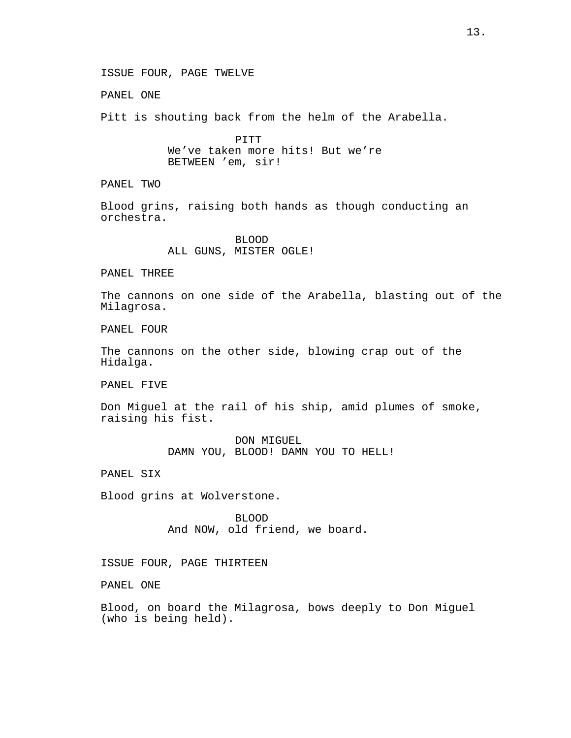ISSUE FOUR, PAGE TWELVE

PANEL ONE

Pitt is shouting back from the helm of the Arabella.

PITT We've taken more hits! But we're BETWEEN 'em, sir!

PANEL TWO

Blood grins, raising both hands as though conducting an orchestra.

> BLOOD ALL GUNS, MISTER OGLE!

PANEL THREE

The cannons on one side of the Arabella, blasting out of the Milagrosa.

PANEL FOUR

The cannons on the other side, blowing crap out of the Hidalga.

PANEL FIVE

Don Miguel at the rail of his ship, amid plumes of smoke, raising his fist.

> DON MIGUEL DAMN YOU, BLOOD! DAMN YOU TO HELL!

PANEL SIX

Blood grins at Wolverstone.

BLOOD And NOW, old friend, we board.

ISSUE FOUR, PAGE THIRTEEN

PANEL ONE

Blood, on board the Milagrosa, bows deeply to Don Miguel (who is being held).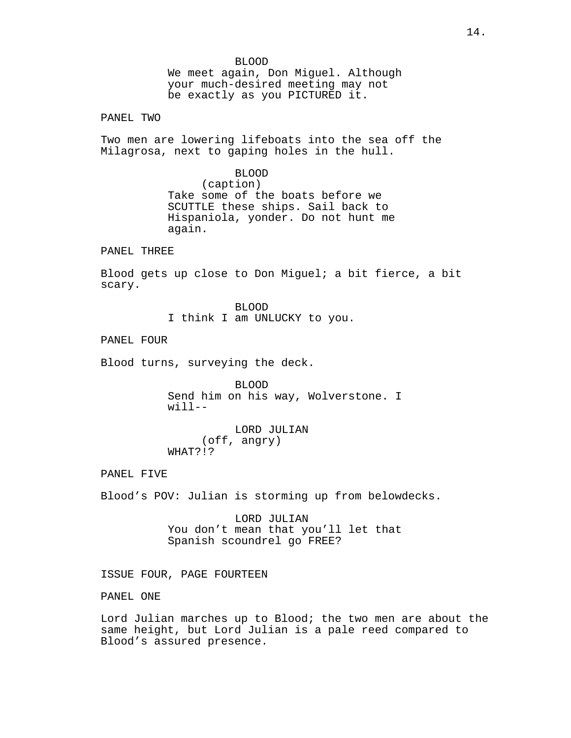BLOOD We meet again, Don Miguel. Although your much-desired meeting may not be exactly as you PICTURED it.

PANEL TWO

Two men are lowering lifeboats into the sea off the Milagrosa, next to gaping holes in the hull.

> BLOOD (caption) Take some of the boats before we SCUTTLE these ships. Sail back to Hispaniola, yonder. Do not hunt me again.

PANEL THREE

Blood gets up close to Don Miguel; a bit fierce, a bit scary.

> BLOOD I think I am UNLUCKY to you.

PANEL FOUR

Blood turns, surveying the deck.

BLOOD Send him on his way, Wolverstone. I  $width-1$ 

LORD JULIAN (off, angry) WHAT?!?

PANEL FIVE

Blood's POV: Julian is storming up from belowdecks.

LORD JULIAN You don't mean that you'll let that Spanish scoundrel go FREE?

ISSUE FOUR, PAGE FOURTEEN

PANEL ONE

Lord Julian marches up to Blood; the two men are about the same height, but Lord Julian is a pale reed compared to Blood's assured presence.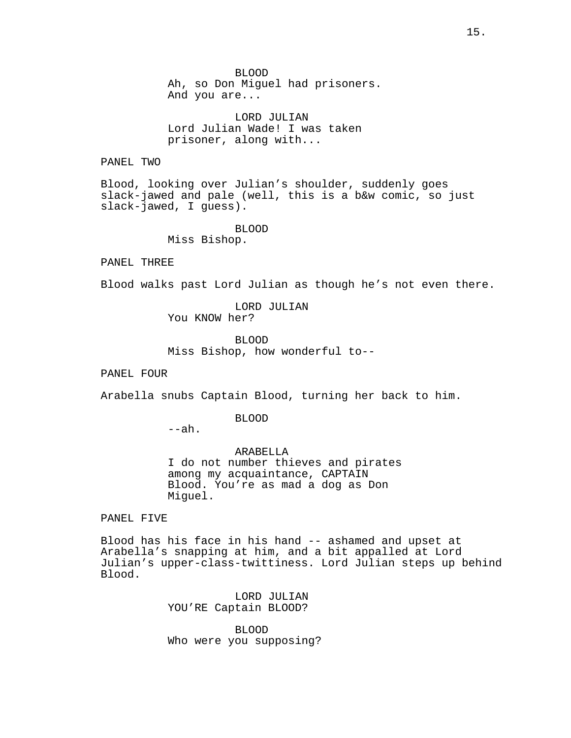BLOOD Ah, so Don Miguel had prisoners. And you are...

LORD JULIAN Lord Julian Wade! I was taken prisoner, along with...

PANEL TWO

Blood, looking over Julian's shoulder, suddenly goes slack-jawed and pale (well, this is a b&w comic, so just slack-jawed, I guess).

BLOOD

Miss Bishop.

PANEL THREE

Blood walks past Lord Julian as though he's not even there.

LORD JULIAN You KNOW her?

BLOOD Miss Bishop, how wonderful to--

PANEL FOUR

Arabella snubs Captain Blood, turning her back to him.

BLOOD

 $--ah.$ 

ARABELLA I do not number thieves and pirates among my acquaintance, CAPTAIN Blood. You're as mad a dog as Don Miguel.

PANEL FIVE

Blood has his face in his hand -- ashamed and upset at Arabella's snapping at him, and a bit appalled at Lord Julian's upper-class-twittiness. Lord Julian steps up behind Blood.

> LORD JULIAN YOU'RE Captain BLOOD?

BLOOD Who were you supposing?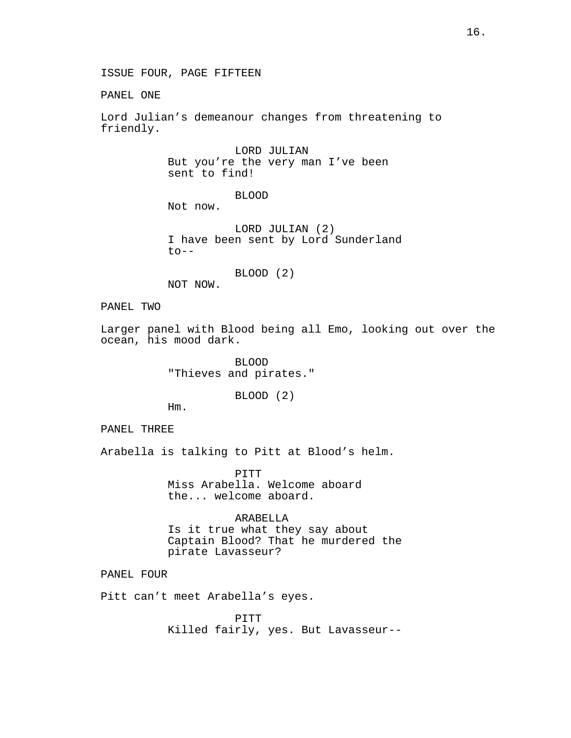ISSUE FOUR, PAGE FIFTEEN

PANEL ONE

Lord Julian's demeanour changes from threatening to friendly.

> LORD JULIAN But you're the very man I've been sent to find!

> > BLOOD

Not now.

LORD JULIAN (2) I have been sent by Lord Sunderland  $to--$ 

BLOOD (2)

NOT NOW.

PANEL TWO

Larger panel with Blood being all Emo, looking out over the ocean, his mood dark.

> BLOOD "Thieves and pirates."

> > BLOOD (2)

Hm.

PANEL THREE

Arabella is talking to Pitt at Blood's helm.

PITT Miss Arabella. Welcome aboard the... welcome aboard.

ARABELLA Is it true what they say about Captain Blood? That he murdered the pirate Lavasseur?

PANEL FOUR

Pitt can't meet Arabella's eyes.

PITT Killed fairly, yes. But Lavasseur--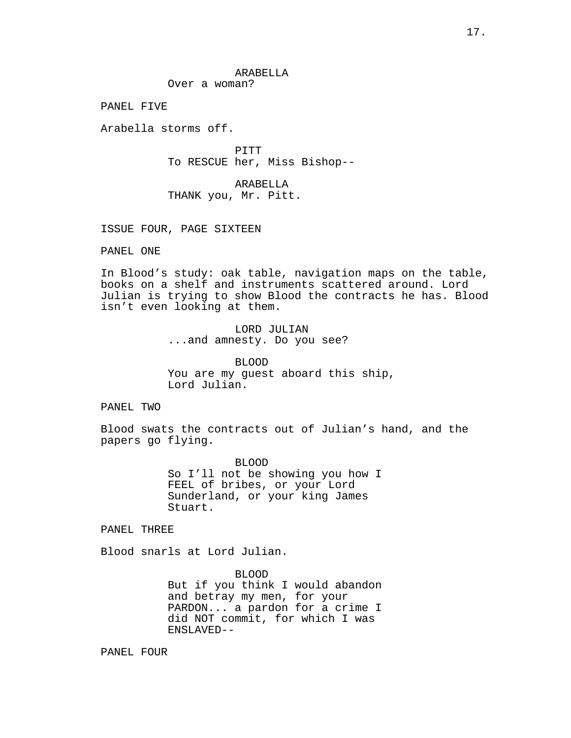## ARABELLA

Over a woman?

PANEL FIVE

Arabella storms off.

PITT To RESCUE her, Miss Bishop--

ARABELLA THANK you, Mr. Pitt.

ISSUE FOUR, PAGE SIXTEEN

PANEL ONE

In Blood's study: oak table, navigation maps on the table, books on a shelf and instruments scattered around. Lord Julian is trying to show Blood the contracts he has. Blood isn't even looking at them.

> LORD JULIAN ...and amnesty. Do you see?

BLOOD You are my guest aboard this ship, Lord Julian.

# PANEL TWO

Blood swats the contracts out of Julian's hand, and the papers go flying.

> BLOOD So I'll not be showing you how I FEEL of bribes, or your Lord Sunderland, or your king James Stuart.

PANEL THREE

Blood snarls at Lord Julian.

BLOOD But if you think I would abandon and betray my men, for your PARDON... a pardon for a crime I did NOT commit, for which I was ENSLAVED--

PANEL FOUR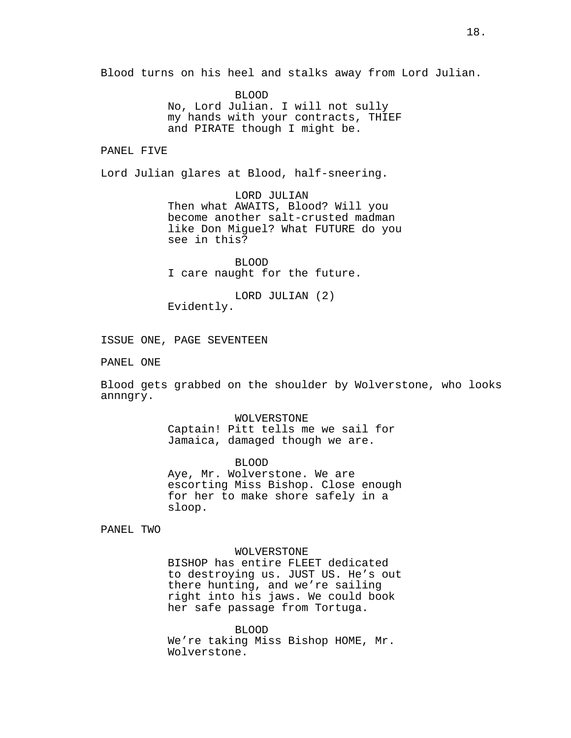Blood turns on his heel and stalks away from Lord Julian.

BLOOD No, Lord Julian. I will not sully my hands with your contracts, THIEF and PIRATE though I might be.

PANEL FIVE

Lord Julian glares at Blood, half-sneering.

LORD JULIAN Then what AWAITS, Blood? Will you become another salt-crusted madman like Don Miguel? What FUTURE do you see in this?

BLOOD I care naught for the future.

LORD JULIAN (2) Evidently.

ISSUE ONE, PAGE SEVENTEEN

PANEL ONE

Blood gets grabbed on the shoulder by Wolverstone, who looks annngry.

> WOLVERSTONE Captain! Pitt tells me we sail for Jamaica, damaged though we are.

BLOOD Aye, Mr. Wolverstone. We are escorting Miss Bishop. Close enough for her to make shore safely in a sloop.

PANEL TWO

### WOLVERSTONE

BISHOP has entire FLEET dedicated to destroying us. JUST US. He's out there hunting, and we're sailing right into his jaws. We could book her safe passage from Tortuga.

BLOOD

We're taking Miss Bishop HOME, Mr. Wolverstone.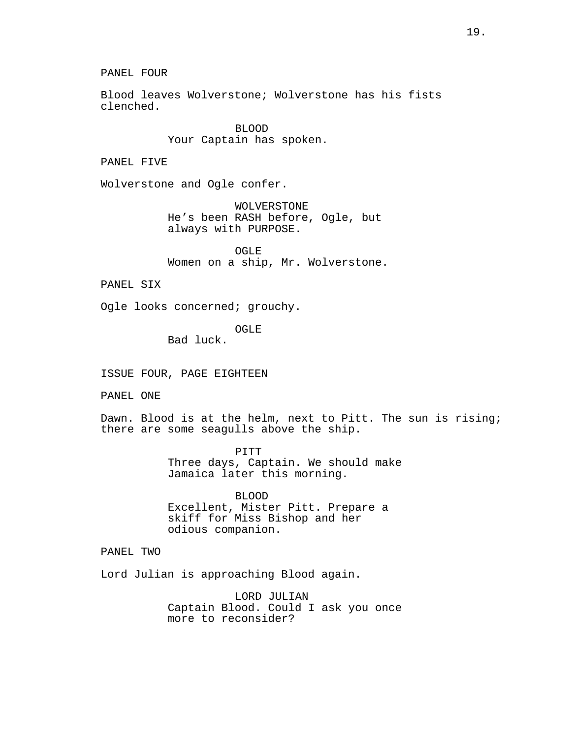Blood leaves Wolverstone; Wolverstone has his fists clenched.

> BLOOD Your Captain has spoken.

PANEL FIVE

Wolverstone and Ogle confer.

WOLVERSTONE He's been RASH before, Ogle, but always with PURPOSE.

OGLE Women on a ship, Mr. Wolverstone.

PANEL SIX

Ogle looks concerned; grouchy.

OGLE

Bad luck.

ISSUE FOUR, PAGE EIGHTEEN

PANEL ONE

Dawn. Blood is at the helm, next to Pitt. The sun is rising; there are some seagulls above the ship.

> PITT Three days, Captain. We should make Jamaica later this morning.

BLOOD Excellent, Mister Pitt. Prepare a skiff for Miss Bishop and her odious companion.

PANEL TWO

Lord Julian is approaching Blood again.

LORD JULIAN Captain Blood. Could I ask you once more to reconsider?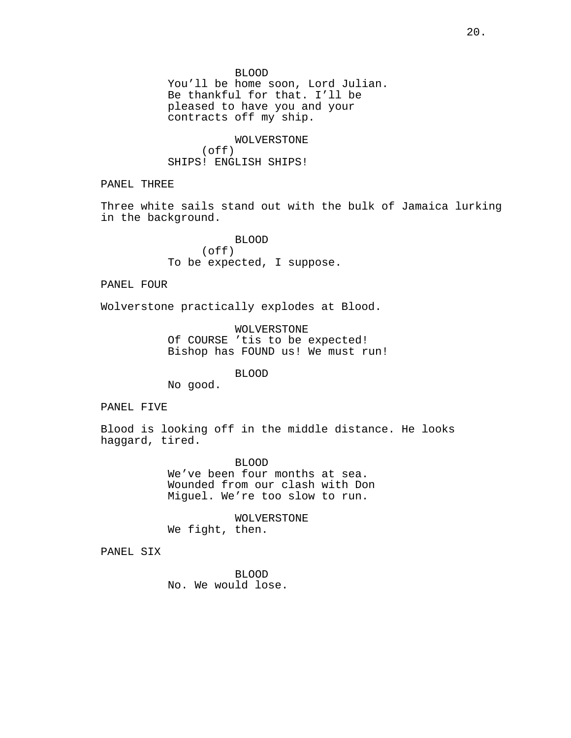BLOOD You'll be home soon, Lord Julian. Be thankful for that. I'll be pleased to have you and your contracts off my ship.

WOLVERSTONE (off) SHIPS! ENGLISH SHIPS!

PANEL THREE

Three white sails stand out with the bulk of Jamaica lurking in the background.

> BLOOD (off) To be expected, I suppose.

PANEL FOUR

Wolverstone practically explodes at Blood.

WOLVERSTONE Of COURSE 'tis to be expected! Bishop has FOUND us! We must run!

BLOOD

No good.

PANEL FIVE

Blood is looking off in the middle distance. He looks haggard, tired.

> BLOOD We've been four months at sea. Wounded from our clash with Don Miguel. We're too slow to run.

WOLVERSTONE We fight, then.

PANEL SIX

BLOOD No. We would lose.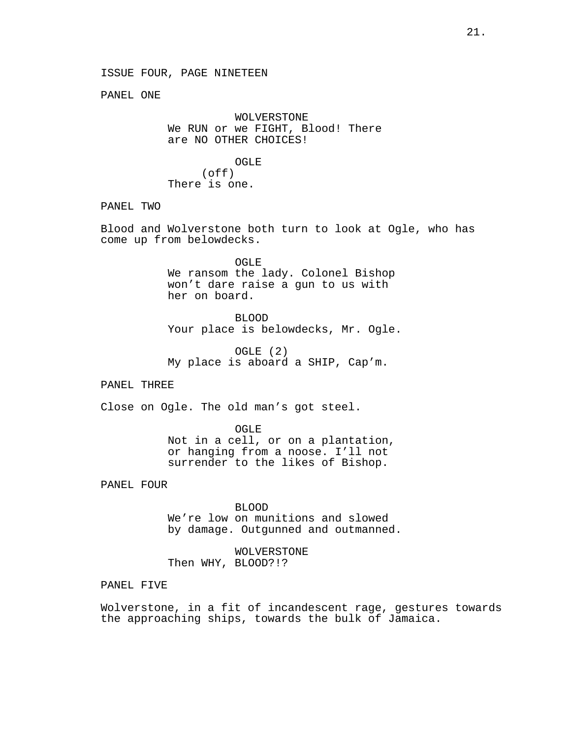PANEL ONE

WOLVERSTONE We RUN or we FIGHT, Blood! There are NO OTHER CHOICES!

OGLE (off) There is one.

## PANEL TWO

Blood and Wolverstone both turn to look at Ogle, who has come up from belowdecks.

> OGLE We ransom the lady. Colonel Bishop won't dare raise a gun to us with her on board.

BLOOD Your place is belowdecks, Mr. Ogle.

OGLE (2) My place is aboard a SHIP, Cap'm.

PANEL THREE

Close on Ogle. The old man's got steel.

OGLE Not in a cell, or on a plantation, or hanging from a noose. I'll not surrender to the likes of Bishop.

PANEL FOUR

BLOOD We're low on munitions and slowed by damage. Outgunned and outmanned.

WOLVERSTONE Then WHY, BLOOD?!?

PANEL FIVE

Wolverstone, in a fit of incandescent rage, gestures towards the approaching ships, towards the bulk of Jamaica.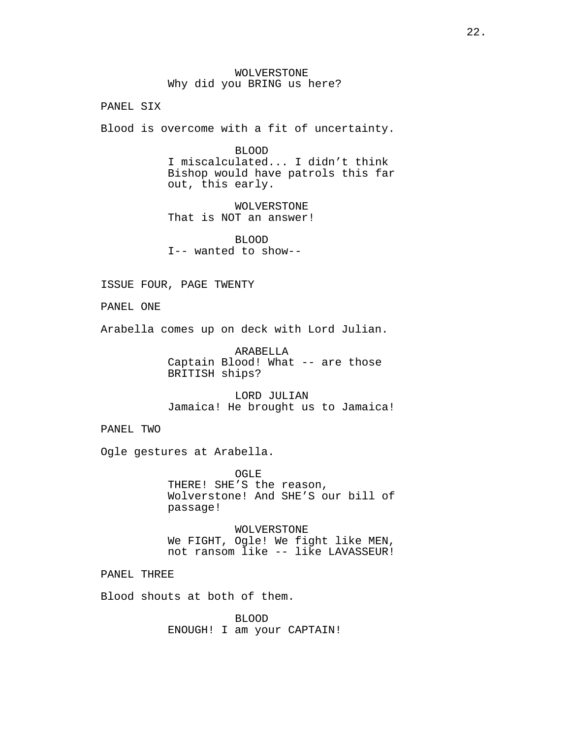WOLVERSTONE Why did you BRING us here?

PANEL SIX

Blood is overcome with a fit of uncertainty.

BLOOD

I miscalculated... I didn't think Bishop would have patrols this far out, this early.

WOLVERSTONE That is NOT an answer!

BLOOD I-- wanted to show--

ISSUE FOUR, PAGE TWENTY

PANEL ONE

Arabella comes up on deck with Lord Julian.

ARABELLA Captain Blood! What -- are those BRITISH ships?

LORD JULIAN Jamaica! He brought us to Jamaica!

PANEL TWO

Ogle gestures at Arabella.

OGLE THERE! SHE'S the reason, Wolverstone! And SHE'S our bill of passage!

WOLVERSTONE We FIGHT, Ogle! We fight like MEN, not ransom like -- like LAVASSEUR!

PANEL THREE

Blood shouts at both of them.

BLOOD ENOUGH! I am your CAPTAIN!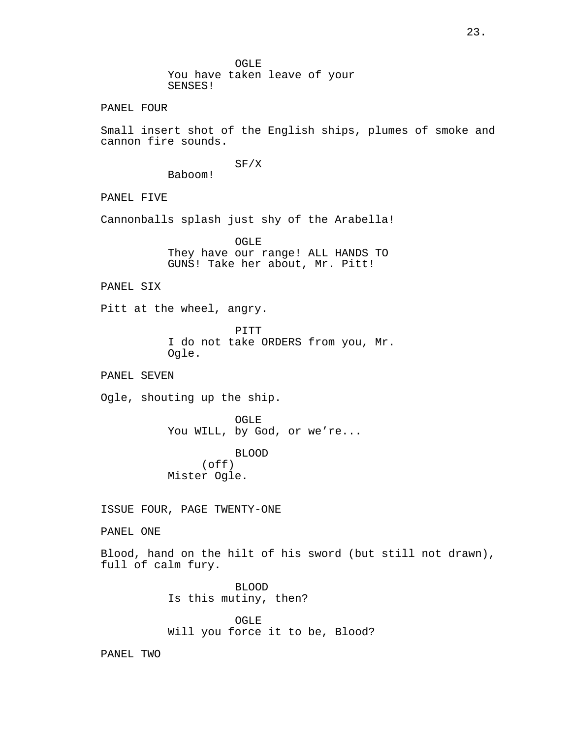OGLE You have taken leave of your SENSES!

PANEL FOUR

Small insert shot of the English ships, plumes of smoke and cannon fire sounds.

SF/X

Baboom!

PANEL FIVE

Cannonballs splash just shy of the Arabella!

OGLE They have our range! ALL HANDS TO GUNS! Take her about, Mr. Pitt!

PANEL SIX

Pitt at the wheel, angry.

PITT I do not take ORDERS from you, Mr. Ogle.

PANEL SEVEN

Ogle, shouting up the ship.

OGLE You WILL, by God, or we're...

BLOOD (off) Mister Ogle.

ISSUE FOUR, PAGE TWENTY-ONE

PANEL ONE

Blood, hand on the hilt of his sword (but still not drawn), full of calm fury.

> BLOOD Is this mutiny, then?

OGLE Will you force it to be, Blood?

PANEL TWO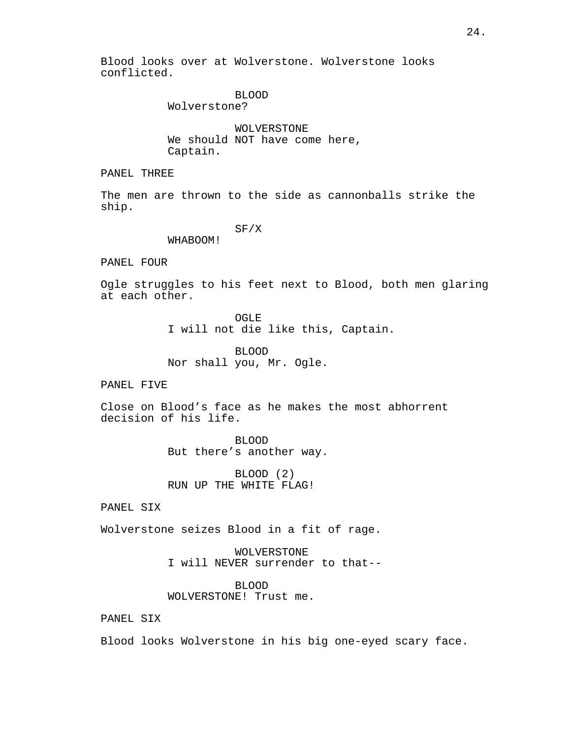Blood looks over at Wolverstone. Wolverstone looks conflicted.

### BLOOD

Wolverstone?

WOLVERSTONE We should NOT have come here, Captain.

PANEL THREE

The men are thrown to the side as cannonballs strike the ship.

SF/X

WHABOOM!

PANEL FOUR

Ogle struggles to his feet next to Blood, both men glaring at each other.

OGLE

I will not die like this, Captain.

BLOOD Nor shall you, Mr. Ogle.

PANEL FIVE

Close on Blood's face as he makes the most abhorrent decision of his life.

> BLOOD But there's another way.

BLOOD (2) RUN UP THE WHITE FLAG!

PANEL SIX

Wolverstone seizes Blood in a fit of rage.

WOLVERSTONE I will NEVER surrender to that--

BLOOD WOLVERSTONE! Trust me.

PANEL SIX

Blood looks Wolverstone in his big one-eyed scary face.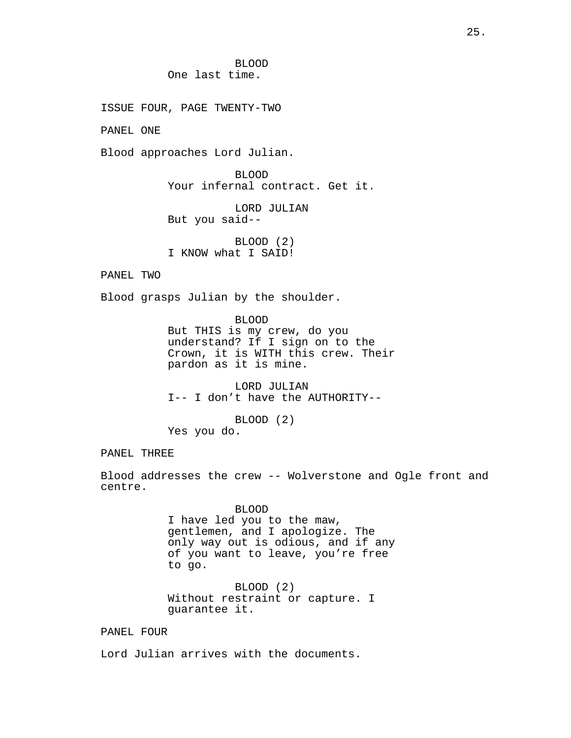BLOOD One last time.

ISSUE FOUR, PAGE TWENTY-TWO

PANEL ONE

Blood approaches Lord Julian.

BLOOD Your infernal contract. Get it.

LORD JULIAN But you said--

BLOOD (2) I KNOW what I SAID!

PANEL TWO

Blood grasps Julian by the shoulder.

BLOOD But THIS is my crew, do you understand? If I sign on to the Crown, it is WITH this crew. Their pardon as it is mine.

LORD JULIAN I-- I don't have the AUTHORITY--

BLOOD (2) Yes you do.

PANEL THREE

Blood addresses the crew -- Wolverstone and Ogle front and centre.

> BLOOD I have led you to the maw, gentlemen, and I apologize. The only way out is odious, and if any of you want to leave, you're free to go.

BLOOD (2) Without restraint or capture. I guarantee it.

PANEL FOUR

Lord Julian arrives with the documents.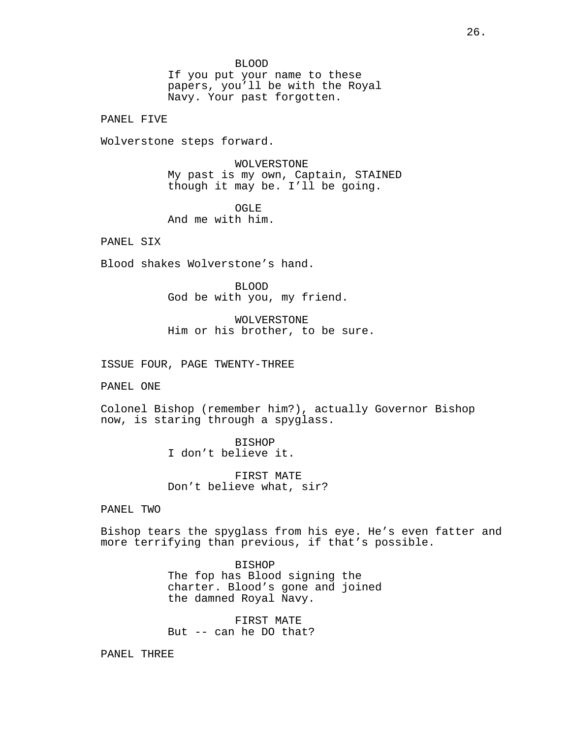#### BLOOD

If you put your name to these papers, you'll be with the Royal Navy. Your past forgotten.

PANEL FIVE

Wolverstone steps forward.

WOLVERSTONE My past is my own, Captain, STAINED though it may be. I'll be going.

OGLE And me with him.

PANEL SIX

Blood shakes Wolverstone's hand.

BLOOD God be with you, my friend.

WOLVERSTONE Him or his brother, to be sure.

ISSUE FOUR, PAGE TWENTY-THREE

PANEL ONE

Colonel Bishop (remember him?), actually Governor Bishop now, is staring through a spyglass.

> BISHOP I don't believe it.

FIRST MATE Don't believe what, sir?

PANEL TWO

Bishop tears the spyglass from his eye. He's even fatter and more terrifying than previous, if that's possible.

> BISHOP The fop has Blood signing the charter. Blood's gone and joined the damned Royal Navy.

FIRST MATE But -- can he DO that?

PANEL THREE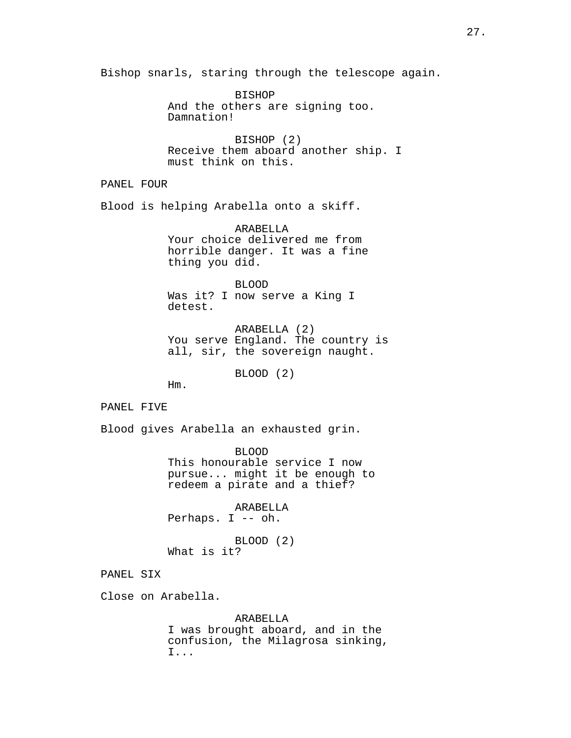Bishop snarls, staring through the telescope again.

BISHOP And the others are signing too. Damnation!

BISHOP (2) Receive them aboard another ship. I must think on this.

PANEL FOUR

Blood is helping Arabella onto a skiff.

ARABELLA Your choice delivered me from horrible danger. It was a fine thing you did.

BLOOD Was it? I now serve a King I detest.

ARABELLA (2) You serve England. The country is all, sir, the sovereign naught.

BLOOD (2)

Hm.

PANEL FIVE

Blood gives Arabella an exhausted grin.

BLOOD This honourable service I now pursue... might it be enough to redeem a pirate and a thief?

ARABELLA Perhaps. I -- oh.

BLOOD (2) What is it?

PANEL SIX

Close on Arabella.

ARABELLA

I was brought aboard, and in the confusion, the Milagrosa sinking, I...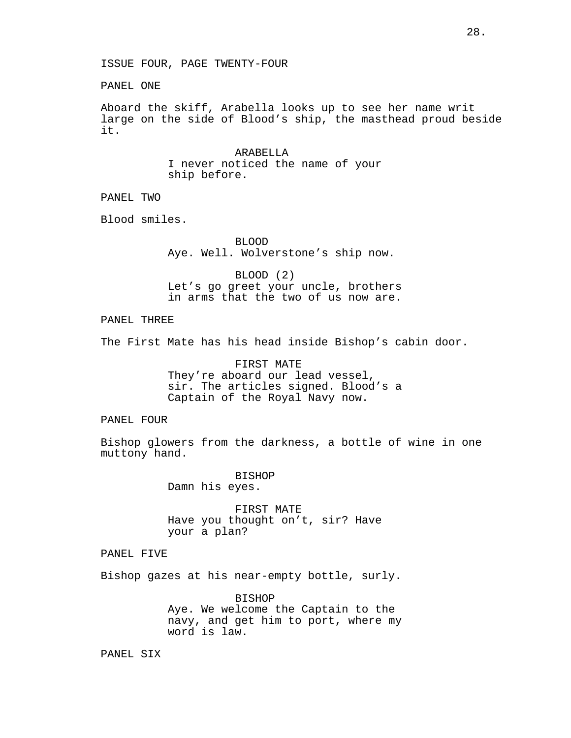PANEL ONE

Aboard the skiff, Arabella looks up to see her name writ large on the side of Blood's ship, the masthead proud beside it.

> ARABELLA I never noticed the name of your ship before.

PANEL TWO

Blood smiles.

BLOOD Aye. Well. Wolverstone's ship now.

BLOOD (2) Let's go greet your uncle, brothers in arms that the two of us now are.

PANEL THREE

The First Mate has his head inside Bishop's cabin door.

FIRST MATE They're aboard our lead vessel, sir. The articles signed. Blood's a Captain of the Royal Navy now.

PANEL FOUR

Bishop glowers from the darkness, a bottle of wine in one muttony hand.

> BISHOP Damn his eyes.

FIRST MATE Have you thought on't, sir? Have your a plan?

PANEL FIVE

Bishop gazes at his near-empty bottle, surly.

BISHOP Aye. We welcome the Captain to the navy, and get him to port, where my word is law.

PANEL SIX